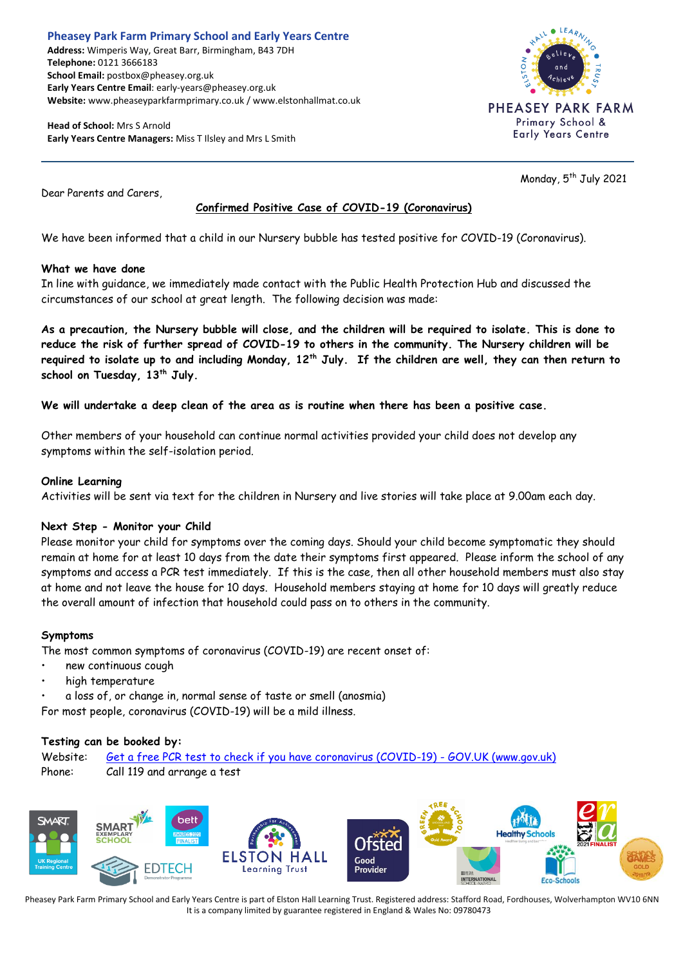#### **Pheasey Park Farm Primary School and Early Years Centre Address:** Wimperis Way, Great Barr, Birmingham, B43 7DH **Telephone:** 0121 3666183 **School Email:** postbox@pheasey.org.uk **Early Years Centre Email**: early-years@pheasey.org.uk **Website:** www.pheaseyparkfarmprimary.co.uk / www.elstonhallmat.co.uk

**Head of School:** Mrs S Arnold **Early Years Centre Managers:** Miss T Ilsley and Mrs L Smith



Monday, 5<sup>th</sup> July 2021

Dear Parents and Carers,

# **Confirmed Positive Case of COVID-19 (Coronavirus)**

We have been informed that a child in our Nursery bubble has tested positive for COVID-19 (Coronavirus).

# **What we have done**

In line with guidance, we immediately made contact with the Public Health Protection Hub and discussed the circumstances of our school at great length. The following decision was made:

**As a precaution, the Nursery bubble will close, and the children will be required to isolate. This is done to reduce the risk of further spread of COVID-19 to others in the community. The Nursery children will be required to isolate up to and including Monday, 12th July. If the children are well, they can then return to school on Tuesday, 13th July.**

#### **We will undertake a deep clean of the area as is routine when there has been a positive case.**

Other members of your household can continue normal activities provided your child does not develop any symptoms within the self-isolation period.

#### **Online Learning**

Activities will be sent via text for the children in Nursery and live stories will take place at 9.00am each day.

# **Next Step - Monitor your Child**

Please monitor your child for symptoms over the coming days. Should your child become symptomatic they should remain at home for at least 10 days from the date their symptoms first appeared. Please inform the school of any symptoms and access a PCR test immediately. If this is the case, then all other household members must also stay at home and not leave the house for 10 days. Household members staying at home for 10 days will greatly reduce the overall amount of infection that household could pass on to others in the community.

# **Symptoms**

The most common symptoms of coronavirus (COVID-19) are recent onset of:

- new continuous cough
- high temperature
- a loss of, or change in, normal sense of taste or smell (anosmia)

For most people, coronavirus (COVID-19) will be a mild illness.

# **Testing can be booked by:**

Website: [Get a free PCR test to check if you have coronavirus \(COVID-19\) -](https://www.gov.uk/get-coronavirus-test) GOV.UK (www.gov.uk) Phone: Call 119 and arrange a test



Pheasey Park Farm Primary School and Early Years Centre is part of Elston Hall Learning Trust. Registered address: Stafford Road, Fordhouses, Wolverhampton WV10 6NN It is a company limited by guarantee registered in England & Wales No: 09780473